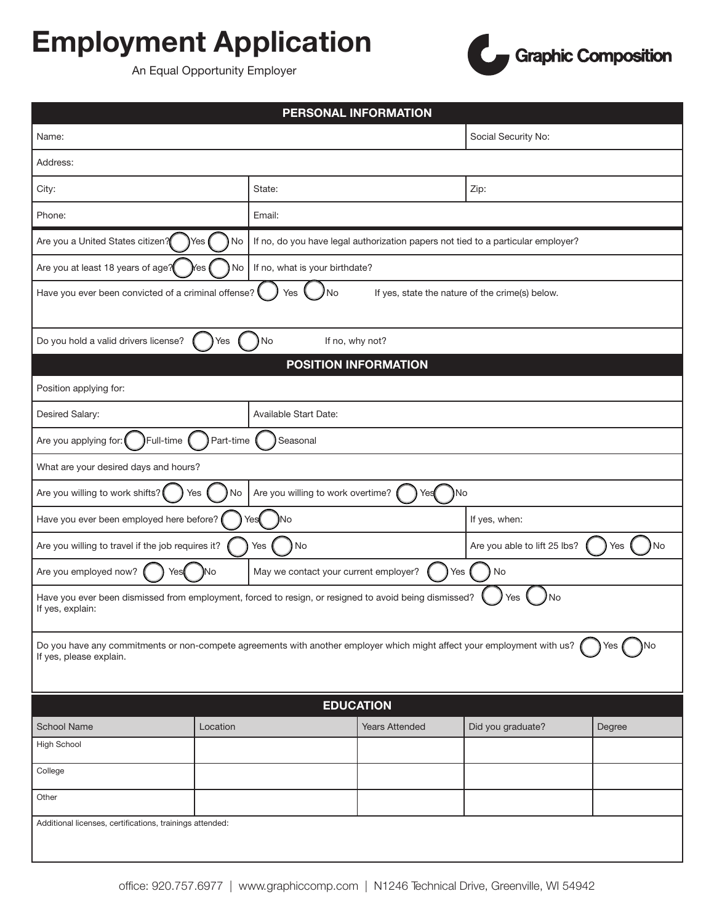## Employment Application



An Equal Opportunity Employer

| PERSONAL INFORMATION                                                                                                                                            |                       |                                                                                  |                                           |        |  |  |
|-----------------------------------------------------------------------------------------------------------------------------------------------------------------|-----------------------|----------------------------------------------------------------------------------|-------------------------------------------|--------|--|--|
| Name:                                                                                                                                                           |                       |                                                                                  | Social Security No:                       |        |  |  |
| Address:                                                                                                                                                        |                       |                                                                                  |                                           |        |  |  |
| City:                                                                                                                                                           |                       | State:                                                                           | Zip:                                      |        |  |  |
| Phone:                                                                                                                                                          |                       | Email:                                                                           |                                           |        |  |  |
| Are you a United States citizen?                                                                                                                                | Yes<br>No             | If no, do you have legal authorization papers not tied to a particular employer? |                                           |        |  |  |
| Are you at least 18 years of age?                                                                                                                               | No<br>Yes             | If no, what is your birthdate?                                                   |                                           |        |  |  |
| Have you ever been convicted of a criminal offense?<br>Yes<br>No<br>If yes, state the nature of the crime(s) below.                                             |                       |                                                                                  |                                           |        |  |  |
| Do you hold a valid drivers license?<br>No<br>If no, why not?<br>Yes                                                                                            |                       |                                                                                  |                                           |        |  |  |
| <b>POSITION INFORMATION</b>                                                                                                                                     |                       |                                                                                  |                                           |        |  |  |
| Position applying for:                                                                                                                                          |                       |                                                                                  |                                           |        |  |  |
| Desired Salary:                                                                                                                                                 | Available Start Date: |                                                                                  |                                           |        |  |  |
| Full-time<br>Part-time<br>Are you applying for:<br>Seasonal                                                                                                     |                       |                                                                                  |                                           |        |  |  |
| What are your desired days and hours?                                                                                                                           |                       |                                                                                  |                                           |        |  |  |
| Are you willing to work overtime?<br>Are you willing to work shifts?<br>Yes<br>No<br>)No<br>Yes                                                                 |                       |                                                                                  |                                           |        |  |  |
| Have you ever been employed here before?<br>Yes<br>No                                                                                                           |                       |                                                                                  | If yes, when:                             |        |  |  |
| Are you willing to travel if the job requires it?<br>) No<br>Yes                                                                                                |                       |                                                                                  | Are you able to lift 25 lbs?<br>No<br>Yes |        |  |  |
| Are you employed now?<br>Yes                                                                                                                                    | )No                   | May we contact your current employer?                                            | Yes<br>No                                 |        |  |  |
| Have you ever been dismissed from employment, forced to resign, or resigned to avoid being dismissed?<br>No<br>Yes<br>If yes, explain:                          |                       |                                                                                  |                                           |        |  |  |
| Do you have any commitments or non-compete agreements with another employer which might affect your employment with us?<br>No<br>Yes<br>If yes, please explain. |                       |                                                                                  |                                           |        |  |  |
| <b>EDUCATION</b>                                                                                                                                                |                       |                                                                                  |                                           |        |  |  |
| <b>School Name</b>                                                                                                                                              | Location              | <b>Years Attended</b>                                                            | Did you graduate?                         | Degree |  |  |
| <b>High School</b>                                                                                                                                              |                       |                                                                                  |                                           |        |  |  |
| College                                                                                                                                                         |                       |                                                                                  |                                           |        |  |  |
| Other                                                                                                                                                           |                       |                                                                                  |                                           |        |  |  |
| Additional licenses, certifications, trainings attended:                                                                                                        |                       |                                                                                  |                                           |        |  |  |